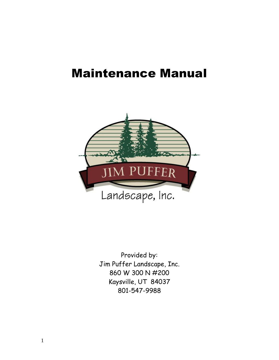# Maintenance Manual



Provided by: Jim Puffer Landscape, Inc. 860 W 300 N #200 Kaysville, UT 84037 801-547-9988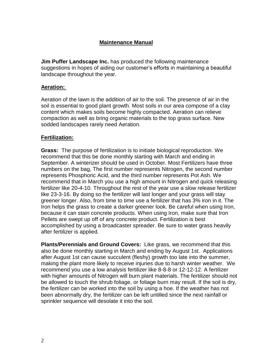## **Maintenance Manual**

**Jim Puffer Landscape Inc.** has produced the following maintenance suggestions in hopes of aiding our customer's efforts in maintaining a beautiful landscape throughout the year.

#### **Aeration:**

Aeration of the lawn is the addition of air to the soil. The presence of air in the soil is essential to good plant growth. Most soils in our area compose of a clay content which makes soils become highly compacted. Aeration can relieve compaction as well as bring organic materials to the top grass surface. New sodded landscapes rarely need Aeration.

## **Fertilization:**

**Grass:** The purpose of fertilization is to initiate biological reproduction. We recommend that this be done monthly starting with March and ending in September. A winterizer should be used in October. Most Fertilizers have three numbers on the bag, The first number represents Nitrogen, the second number represents Phosphoric Acid, and the third number represents Pot Ash. We recommend that in March you use a high amount in Nitrogen and quick releasing fertilizer like 20-4-10. Throughout the rest of the year use a slow release fertilizer like 23-3-16. By doing so the fertilizer will last longer and your grass will stay greener longer. Also, from time to time use a fertilizer that has 3% iron in it. The Iron helps the grass to create a darker greener look. Be careful when using Iron, because it can stain concrete products. When using Iron, make sure that Iron Pellets are swept up off of any concrete product. Fertilization is best accomplished by using a broadcaster spreader. Be sure to water grass heavily after fertilizer is applied.

**Plants/Perennials and Ground Covers:** Like grass, we recommend that this also be done monthly starting in March and ending by August 1st. Applications after August 1st can cause succulent (fleshy) growth too late into the summer, making the plant more likely to receive injuries due to harsh winter weather. We recommend you use a low analysis fertilizer like 8-8-8 or 12-12-12. A fertilizer with higher amounts of Nitrogen will burn plant materials. The fertilizer should not be allowed to touch the shrub foliage, or foliage burn may result. If the soil is dry, the fertilizer can be worked into the soil by using a hoe. If the weather has not been abnormally dry, the fertilizer can be left untilled since the next rainfall or sprinkler sequence will desolate it into the soil.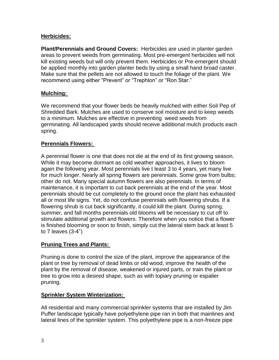## **Herbicides:**

**Plant/Perennials and Ground Covers:** Herbicides are used in planter garden areas to prevent weeds from germinating. Most pre-emergent herbicides will not kill existing weeds but will only prevent them. Herbicides or Pre-emergent should be applied monthly into garden planter beds by using a small hand broad caster. Make sure that the pellets are not allowed to touch the foliage of the plant. We recommend using either "Prevent" or "Trephlon" or "Ron Star."

## **Mulching:**

We recommend that your flower beds be heavily mulched with either Soil Pep of Shredded Bark. Mulches are used to conserve soil moisture and to keep weeds to a minimum. Mulches are effective in preventing weed seeds from germinating. All landscaped yards should receive additional mulch products each spring.

## **Perennials Flowers:**

A perennial flower is one that does not die at the end of its first growing season. While it may become dormant as cold weather approaches, it lives to bloom again the following year. Most perennials live t least 3 to 4 years, yet many live for much longer. Nearly all spring flowers are perennials. Some grow from bulbs; other do not. Many special autumn flowers are also perennials. In terms of maintenance, it is important to cut back perennials at the end of the year. Most perennials should be cut completely to the ground once the plant has exhausted all or most life signs. Yet, do not confuse perennials with flowering shrubs. If a flowering shrub is cut back significantly, it could kill the plant. During spring, summer, and fall months perennials old blooms will be necessary to cut off to stimulate additional growth and flowers. Therefore when you notice that a flower is finished blooming or soon to finish, simply cut the lateral stem back at least 5 to 7 leaves (3-4")

## **Pruning Trees and Plants:**

Pruning is done to control the size of the plant, improve the appearance of the plant or tree by removal of dead limbs or old wood, improve the health of the plant by the removal of disease, weakened or injured parts, or train the plant or tree to grow into a desired shape, such as with topiary pruning or espalier pruning.

#### **Sprinkler System Winterization:**

All residential and many commercial sprinkler systems that are installed by Jim Puffer landscape typically have polyethylene pipe ran in both that mainlines and lateral lines of the sprinkler system. This polyethylene pipe is a non-freeze pipe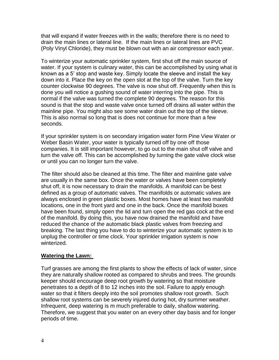that will expand if water freezes with in the walls; therefore there is no need to drain the main lines or lateral line. If the main lines or lateral lines are PVC (Poly Vinyl Chloride), they must be blown out with an air compressor each year.

To winterize your automatic sprinkler system, first shut off the main source of water. If your system is culinary water, this can be accomplished by using what is known as a 5' stop and waste key. Simply locate the sleeve and install the key down into it. Place the key on the open slot at the top of the valve. Turn the key counter clockwise 90 degrees. The valve is now shut off. Frequently when this is done you will notice a gushing sound of water interring into the pipe. This is normal if the valve was turned the complete 90 degrees. The reason for this sound is that the stop and waste valve once turned off drains all water within the mainline pipe. You might also see some water drain out the top of the sleeve. This is also normal so long that is does not continue for more than a few seconds.

If your sprinkler system is on secondary irrigation water form Pine View Water or Weber Basin Water, your water is typically turned off by one off those companies. It is still important however, to go out to the main shut off valve and turn the valve off. This can be accomplished by turning the gate valve clock wise or until you can no longer turn the valve.

The filter should also be cleaned at this time. The filter and mainline gate valve are usually in the same box. Once the water or valves have been completely shut off, it is now necessary to drain the manifolds. A manifold can be best defined as a group of automatic valves. The manifolds or automatic valves are always enclosed in green plastic boxes. Most homes have at least two manifold locations, one in the front yard and one in the back. Once the manifold boxes have been found, simply open the lid and turn open the red gas cock at the end of the manifold. By doing this, you have now drained the manifold and have reduced the chance of the automatic black plastic valves from freezing and breaking. The last thing you have to do to winterize your automatic system is to unplug the controller or time clock. Your sprinkler irrigation system is now winterized.

#### **Watering the Lawn:**

Turf grasses are among the first plants to show the effects of lack of water, since they are naturally shallow rooted as compared to shrubs and trees. The grounds keeper should encourage deep root growth by watering so that moisture penetrates to a depth of 8 to 12 inches into the soil. Failure to apply enough water so that it filters deeply into the soil promotes shallow root growth. Such shallow root systems can be severely injured during hot, dry summer weather. Infrequent, deep watering is m much preferable to daily, shallow watering. Therefore, we suggest that you water on an every other day basis and for longer periods of time.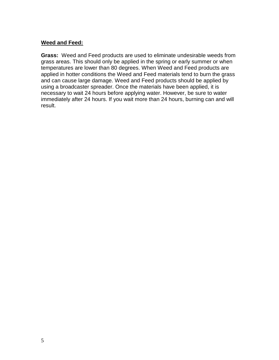## **Weed and Feed:**

**Grass:** Weed and Feed products are used to eliminate undesirable weeds from grass areas. This should only be applied in the spring or early summer or when temperatures are lower than 80 degrees. When Weed and Feed products are applied in hotter conditions the Weed and Feed materials tend to burn the grass and can cause large damage. Weed and Feed products should be applied by using a broadcaster spreader. Once the materials have been applied, it is necessary to wait 24 hours before applying water. However, be sure to water immediately after 24 hours. If you wait more than 24 hours, burning can and will result.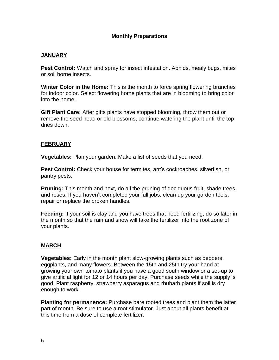## **Monthly Preparations**

#### **JANUARY**

**Pest Control:** Watch and spray for insect infestation. Aphids, mealy bugs, mites or soil borne insects.

**Winter Color in the Home:** This is the month to force spring flowering branches for indoor color. Select flowering home plants that are in blooming to bring color into the home.

**Gift Plant Care:** After gifts plants have stopped blooming, throw them out or remove the seed head or old blossoms, continue watering the plant until the top dries down.

#### **FEBRUARY**

**Vegetables:** Plan your garden. Make a list of seeds that you need.

**Pest Control:** Check your house for termites, ant's cockroaches, silverfish, or pantry pests.

**Pruning:** This month and next, do all the pruning of deciduous fruit, shade trees, and roses. If you haven't completed your fall jobs, clean up your garden tools, repair or replace the broken handles.

**Feeding:** If your soil is clay and you have trees that need fertilizing, do so later in the month so that the rain and snow will take the fertilizer into the root zone of your plants.

#### **MARCH**

**Vegetables:** Early in the month plant slow-growing plants such as peppers, eggplants, and many flowers. Between the 15th and 25th try your hand at growing your own tomato plants if you have a good south window or a set-up to give artificial light for 12 or 14 hours per day. Purchase seeds while the supply is good. Plant raspberry, strawberry asparagus and rhubarb plants if soil is dry enough to work.

**Planting for permanence:** Purchase bare rooted trees and plant them the latter part of month. Be sure to use a root stimulator. Just about all plants benefit at this time from a dose of complete fertilizer.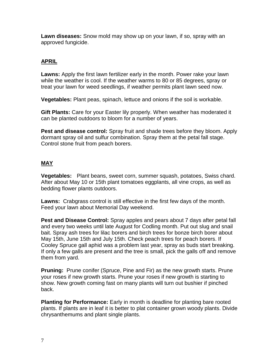**Lawn diseases:** Snow mold may show up on your lawn, if so, spray with an approved fungicide.

# **APRIL**

**Lawns:** Apply the first lawn fertilizer early in the month. Power rake your lawn while the weather is cool. If the weather warms to 80 or 85 degrees, spray or treat your lawn for weed seedlings, if weather permits plant lawn seed now.

**Vegetables:** Plant peas, spinach, lettuce and onions if the soil is workable.

**Gift Plants:** Care for your Easter lily properly. When weather has moderated it can be planted outdoors to bloom for a number of years.

**Pest and disease control:** Spray fruit and shade trees before they bloom. Apply dormant spray oil and sulfur combination. Spray them at the petal fall stage. Control stone fruit from peach borers.

# **MAY**

**Vegetables:** Plant beans, sweet corn, summer squash, potatoes, Swiss chard. After about May 10 or 15th plant tomatoes eggplants, all vine crops, as well as bedding flower plants outdoors.

**Lawns:** Crabgrass control is still effective in the first few days of the month. Feed your lawn about Memorial Day weekend.

**Pest and Disease Control:** Spray apples and pears about 7 days after petal fall and every two weeks until late August for Codling month. Put out slug and snail bait. Spray ash trees for lilac borers and birch trees for bonze birch borer about May 15th, June 15th and July 15th. Check peach trees for peach borers. If Cooley Spruce gall aphid was a problem last year, spray as buds start breaking. If only a few galls are present and the tree is small, pick the galls off and remove them from yard.

**Pruning:** Prune conifer (Spruce, Pine and Fir) as the new growth starts. Prune your roses if new growth starts. Prune your roses if new growth is starting to show. New growth coming fast on many plants will turn out bushier if pinched back.

**Planting for Performance:** Early in month is deadline for planting bare rooted plants. If plants are in leaf it is better to plat container grown woody plants. Divide chrysanthemums and plant single plants.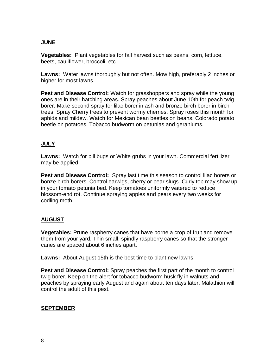## **JUNE**

**Vegetables:** Plant vegetables for fall harvest such as beans, corn, lettuce, beets, cauliflower, broccoli, etc.

**Lawns:** Water lawns thoroughly but not often. Mow high, preferably 2 inches or higher for most lawns.

**Pest and Disease Control:** Watch for grasshoppers and spray while the young ones are in their hatching areas. Spray peaches about June 10th for peach twig borer. Make second spray for lilac borer in ash and bronze birch borer in birch trees. Spray Cherry trees to prevent wormy cherries. Spray roses this month for aphids and mildew. Watch for Mexican bean beetles on beans. Colorado potato beetle on potatoes. Tobacco budworm on petunias and geraniums.

## **JULY**

**Lawns:** Watch for pill bugs or White grubs in your lawn. Commercial fertilizer may be applied.

**Pest and Disease Control:** Spray last time this season to control lilac borers or bonze birch borers. Control earwigs, cherry or pear slugs. Curly top may show up in your tomato petunia bed. Keep tomatoes uniformly watered to reduce blossom-end rot. Continue spraying apples and pears every two weeks for codling moth.

# **AUGUST**

**Vegetables:** Prune raspberry canes that have borne a crop of fruit and remove them from your yard. Thin small, spindly raspberry canes so that the stronger canes are spaced about 6 inches apart.

**Lawns:** About August 15th is the best time to plant new lawns

**Pest and Disease Control:** Spray peaches the first part of the month to control twig borer. Keep on the alert for tobacco budworm husk fly in walnuts and peaches by spraying early August and again about ten days later. Malathion will control the adult of this pest.

## **SEPTEMBER**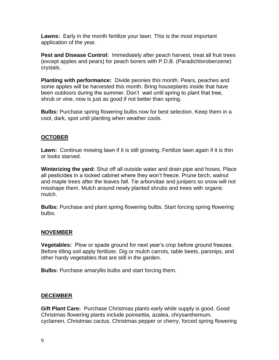**Lawns:** Early in the month fertilize your lawn. This is the most important application of the year.

**Pest and Disease Control:** Immediately after peach harvest, treat all fruit trees (except apples and pears) for peach borers with P.D.B. (Paradichlorobenzene) crystals.

**Planting with performance:** Divide peonies this month. Pears, peaches and some apples will be harvested this month. Bring houseplants inside that have been outdoors during the summer. Don't wait until spring to plant that tree, shrub or vine, now is just as good if not better than spring.

**Bulbs:** Purchase spring flowering bulbs now for best selection. Keep them in a cool, dark, spot until planting when weather cools.

## **OCTOBER**

**Lawn:** Continue mowing lawn if it is still growing. Fertilize lawn again if it is thin or looks starved.

**Winterizing the yard:** Shut off all outside water and drain pipe and hoses. Place all pesticides in a locked cabinet where they won't freeze. Prune birch, walnut and maple trees after the leaves fall. Tie arborvitae and junipers so snow will not misshape them. Mulch around newly planted shrubs and trees with organic mulch.

**Bulbs:** Purchase and plant spring flowering bulbs. Start forcing spring flowering bulbs.

## **NOVEMBER**

**Vegetables:** Plow or spade ground for next year's crop before ground freezes. Before tilling soil apply fertilizer. Dig or mulch carrots, table beets, parsnips, and other hardy vegetables that are still in the garden.

**Bulbs:** Purchase amaryllis bulbs and start forcing them.

## **DECEMBER**

**Gift Plant Care:** Purchase Christmas plants early while supply is good. Good Christmas flowering plants include poinsettia, azalea, chrysanthemum, cyclamen, Christmas cactus, Christmas pepper or cherry, forced spring flowering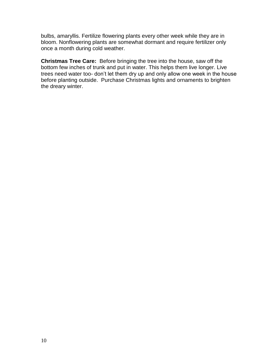bulbs, amaryllis. Fertilize flowering plants every other week while they are in bloom. Nonflowering plants are somewhat dormant and require fertilizer only once a month during cold weather.

**Christmas Tree Care:** Before bringing the tree into the house, saw off the bottom few inches of trunk and put in water. This helps them live longer. Live trees need water too- don't let them dry up and only allow one week in the house before planting outside. Purchase Christmas lights and ornaments to brighten the dreary winter.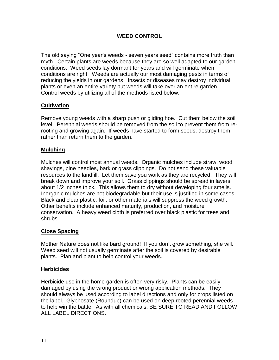## **WEED CONTROL**

The old saying "One year's weeds - seven years seed" contains more truth than myth. Certain plants are weeds because they are so well adapted to our garden conditions. Weed seeds lay dormant for years and will germinate when conditions are right. Weeds are actually our most damaging pests in terms of reducing the yields in our gardens. Insects or diseases may destroy individual plants or even an entire variety but weeds will take over an entire garden. Control weeds by utilizing all of the methods listed below.

## **Cultivation**

Remove young weeds with a sharp push or gliding hoe. Cut them below the soil level. Perennial weeds should be removed from the soil to prevent them from rerooting and growing again. If weeds have started to form seeds, destroy them rather than return them to the garden.

## **Mulching**

Mulches will control most annual weeds. Organic mulches include straw, wood shavings, pine needles, bark or grass clippings. Do not send these valuable resources to the landfill. Let them save you work as they are recycled. They will break down and improve your soil. Grass clippings should be spread in layers about 1/2 inches thick. This allows them to dry without developing four smells. Inorganic mulches are not biodegradable but their use is justified in some cases. Black and clear plastic, foil, or other materials will suppress the weed growth. Other benefits include enhanced maturity, production, and moisture conservation. A heavy weed cloth is preferred over black plastic for trees and shrubs.

#### **Close Spacing**

Mother Nature does not like bard ground! If you don't grow something, she will. Weed seed will not usually germinate after the soil is covered by desirable plants. Plan and plant to help control your weeds.

#### **Herbicides**

Herbicide use in the home garden is often very risky. Plants can be easily damaged by using the wrong product or wrong application methods. They should always be used according to label directions and only for crops listed on the label. Glyphosate (Roundup) can be used on deep rooted perennial weeds to help win the battle. As with all chemicals, BE SURE TO READ AND FOLLOW ALL LABEL DIRECTIONS.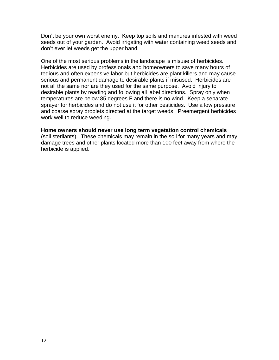Don't be your own worst enemy. Keep top soils and manures infested with weed seeds out of your garden. Avoid irrigating with water containing weed seeds and don't ever let weeds get the upper hand.

One of the most serious problems in the landscape is misuse of herbicides. Herbicides are used by professionals and homeowners to save many hours of tedious and often expensive labor but herbicides are plant killers and may cause serious and permanent damage to desirable plants if misused. Herbicides are not all the same nor are they used for the same purpose. Avoid injury to desirable plants by reading and following all label directions. Spray only when temperatures are below 85 degrees F and there is no wind. Keep a separate sprayer for herbicides and do not use it for other pesticides. Use a low pressure and coarse spray droplets directed at the target weeds. Preemergent herbicides work well to reduce weeding.

#### **Home owners should never use long term vegetation control chemicals**

(soil sterilants). These chemicals may remain in the soil for many years and may damage trees and other plants located more than 100 feet away from where the herbicide is applied.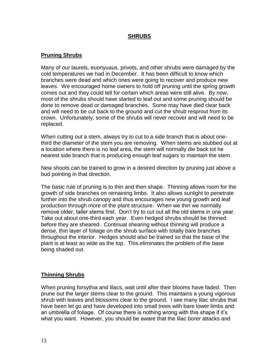#### **SHRUBS**

## **Pruning Shrubs**

Many of our laurels, euonyuaus, privots, and other shrubs were damaged by the cold temperatures we had in December. It has been difficult to know which branches were dead and which ones were going to recover and produce new leaves. We encouraged home owners to hold off pruning until the spring growth comes out and they could tell for certain which areas were still alive. By now, most of the shrubs should have started to leaf out and some pruning should be done to remove dead or damaged branches. Some may have died clear back and will need to be cut back to the ground and cut the shrub resprout from its crown. Unfortunately, some of the shrubs will never recover and will need to be replaced.

When cutting out a stem, always try to cut to a side branch that is about onethird the diameter of the stem you are removing. When stems are stubbed out at a location where there is no leaf area, the stem will normally die back tot he nearest side branch that is producing enough leaf sugars to maintain the stem.

New shoots can be trained to grow in a desired direction by pruning just above a bud pointing in that direction.

The basic rule of pruning is to thin and then shape. Thinning allows room for the growth of side branches on remaining limbs. It also allows sunlight to penetrate further into the shrub canopy and thus encourages new young growth and leaf production through more of the plant structure. When we thin we normally remove older, taller stems first. Don't try to cut out all the old stems in one year. Take out about one-third each year. Even hedged shrubs should be thinned before they are sheared. Continual shearing without thinning will produce a dense, thin layer of foliage on the shrub surface with totally bare branches throughout the interior. Hedges should also be trained so that the base of the plant is at least as wide as the top. This eliminates the problem of the base being shaded out.

## **Thinning Shrubs**

When pruning forsythia and lilacs, wait until after their blooms have faded. Then prune out the larger stems clear to the ground. This maintains a young vigorous shrub with leaves and blossoms clear to the ground. I see many lilac shrubs that have been let go and have developed into small trees with bare lower limbs and an umbrella of foliage. Of course there is nothing wrong with this shape if it's what you want. However, you should be aware that the lilac borer attacks and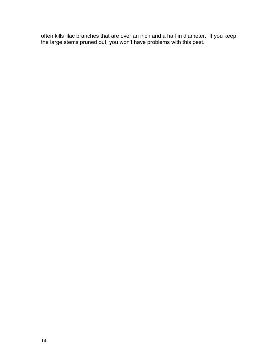often kills lilac branches that are over an inch and a half in diameter. If you keep the large stems pruned out, you won't have problems with this pest.